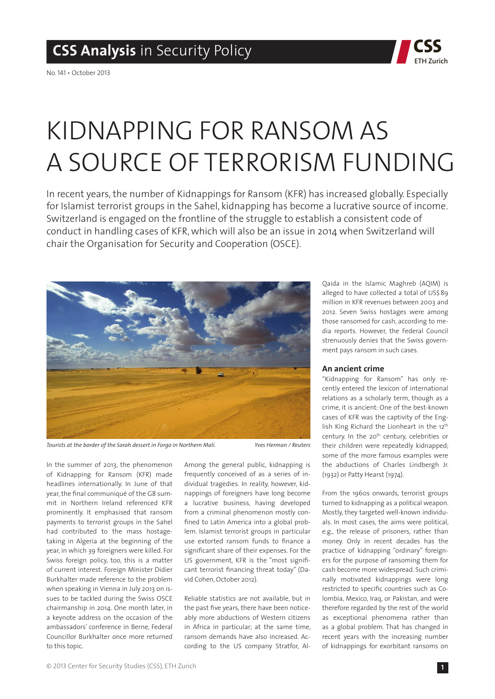

No. 141 • October 2013

# Kidnapping for Ransom as a Source of Terrorism Funding

In recent years, the number of Kidnappings for Ransom (KFR) has increased globally. Especially for Islamist terrorist groups in the Sahel, kidnapping has become a lucrative source of income. Switzerland is engaged on the frontline of the struggle to establish a consistent code of conduct in handling cases of KFR, which will also be an issue in 2014 when Switzerland will chair the Organisation for Security and Cooperation (OSCE).



*Tourists at the border of the Sarah dessert in Forgo in Northern Mali. Yves Herman / Reuters*

In the summer of 2013, the phenomenon of Kidnapping for Ransom (KFR) made headlines internationally. In June of that year, the final communiqué of the G8 summit in Northern Ireland referenced KFR prominently. It emphasised that ransom payments to terrorist groups in the Sahel had contributed to the mass hostagetaking in Algeria at the beginning of the year, in which 39 foreigners were killed. For Swiss foreign policy, too, this is a matter of current interest. Foreign Minister Didier Burkhalter made reference to the problem when speaking in Vienna in July 2013 on issues to be tackled during the Swiss OSCE chairmanship in 2014. One month later, in a keynote address on the occasion of the ambassadors' conference in Berne, Federal Councillor Burkhalter once more returned to this topic.

Among the general public, kidnapping is frequently conceived of as a series of individual tragedies. In reality, however, kidnappings of foreigners have long become a lucrative business, having developed from a criminal phenomenon mostly confined to Latin America into a global problem. Islamist terrorist groups in particular use extorted ransom funds to finance a significant share of their expenses. For the US government, KFR is the "most significant terrorist financing threat today" (David Cohen, October 2012).

Reliable statistics are not available, but in the past five years, there have been noticeably more abductions of Western citizens in Africa in particular; at the same time, ransom demands have also increased. According to the US company Stratfor, Al-

Qaida in the Islamic Maghreb (AQIM) is alleged to have collected a total of US\$89 million in KFR revenues between 2003 and 2012. Seven Swiss hostages were among those ransomed for cash, according to media reports. However, the Federal Council strenuously denies that the Swiss government pays ransom in such cases.

#### **An ancient crime**

"Kidnapping for Ransom" has only recently entered the lexicon of international relations as a scholarly term, though as a crime, it is ancient: One of the best-known cases of KFR was the captivity of the English King Richard the Lionheart in the 12th century. In the 20<sup>th</sup> century, celebrities or their children were repeatedly kidnapped; some of the more famous examples were the abductions of Charles Lindbergh Jr. (1932) or Patty Hearst (1974).

From the 1960s onwards, terrorist groups turned to kidnapping as a political weapon. Mostly, they targeted well-known individuals. In most cases, the aims were political, e.g., the release of prisoners, rather than money. Only in recent decades has the practice of kidnapping "ordinary" foreigners for the purpose of ransoming them for cash become more widespread. Such criminally motivated kidnappings were long restricted to specific countries such as Colombia, Mexico, Iraq, or Pakistan, and were therefore regarded by the rest of the world as exceptional phenomena rather than as a global problem. That has changed in recent years with the increasing number of kidnappings for exorbitant ransoms on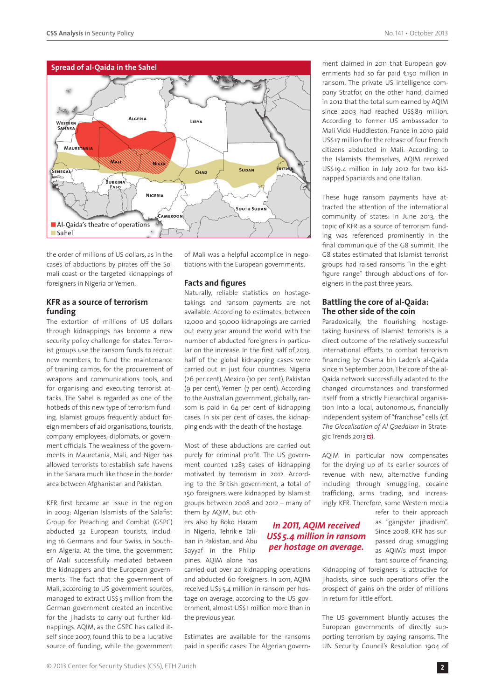

the order of millions of US dollars, as in the cases of abductions by pirates off the Somali coast or the targeted kidnappings of foreigners in Nigeria or Yemen.

# **KFR as a source of terrorism funding**

The extortion of millions of US dollars through kidnappings has become a new security policy challenge for states. Terrorist groups use the ransom funds to recruit new members, to fund the maintenance of training camps, for the procurement of weapons and communications tools, and for organising and executing terrorist attacks. The Sahel is regarded as one of the hotbeds of this new type of terrorism funding. Islamist groups frequently abduct foreign members of aid organisations, tourists, company employees, diplomats, or government officials. The weakness of the governments in Mauretania, Mali, and Niger has allowed terrorists to establish safe havens in the Sahara much like those in the border area between Afghanistan and Pakistan.

KFR first became an issue in the region in 2003: Algerian Islamists of the Salafist Group for Preaching and Combat (GSPC) abducted 32 European tourists, including 16 Germans and four Swiss, in Southern Algeria. At the time, the government of Mali successfully mediated between the kidnappers and the European governments. The fact that the government of Mali, according to US government sources, managed to extract US\$ 5 million from the German government created an incentive for the jihadists to carry out further kidnappings. AQIM, as the GSPC has called itself since 2007, found this to be a lucrative source of funding, while the government

of Mali was a helpful accomplice in negotiations with the European governments.

# **Facts and figures**

Naturally, reliable statistics on hostagetakings and ransom payments are not available. According to estimates, between 12,000 and 30,000 kidnappings are carried out every year around the world, with the number of abducted foreigners in particular on the increase. In the first half of 2013, half of the global kidnapping cases were carried out in just four countries: Nigeria (26 per cent), Mexico (10 per cent), Pakistan (9 per cent), Yemen (7 per cent). According to the Australian government, globally, ransom is paid in 64 per cent of kidnapping cases. In six per cent of cases, the kidnapping ends with the death of the hostage.

Most of these abductions are carried out purely for criminal profit. The US government counted 1,283 cases of kidnapping motivated by terrorism in 2012. According to the British government, a total of 150 foreigners were kidnapped by Islamist groups between 2008 and 2012 – many of

> *In 2011, AQIM received US\$ 5.4 million in ransom per hostage on average.*

them by AQIM, but others also by Boko Haram in Nigeria, Tehrik-e Taliban in Pakistan, and Abu Sayyaf in the Philippines. AQIM alone has

carried out over 20 kidnapping operations and abducted 60 foreigners. In 2011, AQIM received US\$5.4 million in ransom per hostage on average, according to the US government, almost US\$1 million more than in the previous year.

Estimates are available for the ransoms paid in specific cases: The Algerian govern-

# ment claimed in 2011 that European governments had so far paid €150 million in ransom. The private US intelligence company Stratfor, on the other hand, claimed in 2012 that the total sum earned by AQIM since 2003 had reached US\$89 million. According to former US ambassador to Mali Vicki Huddleston, France in 2010 paid US\$ 17 million for the release of four French citizens abducted in Mali. According to the Islamists themselves, AQIM received US\$ 19.4 million in July 2012 for two kidnapped Spaniards and one Italian.

These huge ransom payments have attracted the attention of the international community of states: In June 2013, the topic of KFR as a source of terrorism funding was referenced prominently in the final communiqué of the G8 summit. The G8 states estimated that Islamist terrorist groups had raised ransoms "in the eightfigure range" through abductions of foreigners in the past three years.

### **Battling the core of al-Qaida: The other side of the coin**

Paradoxically, the flourishing hostagetaking business of Islamist terrorists is a direct outcome of the relatively successful international efforts to combat terrorism financing by Osama bin Laden's al-Qaida since 11 September 2001. The core of the al-Qaida network successfully adapted to the changed circumstances and transformed itself from a strictly hierarchical organisation into a local, autonomous, financially independent system of "franchise" cells (cf. *The Glocalisation of Al Qaedaism* in Strategic Trends 2013 $\mathbb{Z}$ ).

AQIM in particular now compensates for the drying up of its earlier sources of revenue with new, alternative funding including through smuggling, cocaine trafficking, arms trading, and increasingly KFR. Therefore, some Western media

> refer to their approach as "gangster jihadism". Since 2008, KFR has surpassed drug smuggling as AQIM's most important source of financing.

Kidnapping of foreigners is attractive for jihadists, since such operations offer the prospect of gains on the order of millions in return for little effort.

The US government bluntly accuses the European governments of directly supporting terrorism by paying ransoms. The UN Security Council's Resolution 1904 of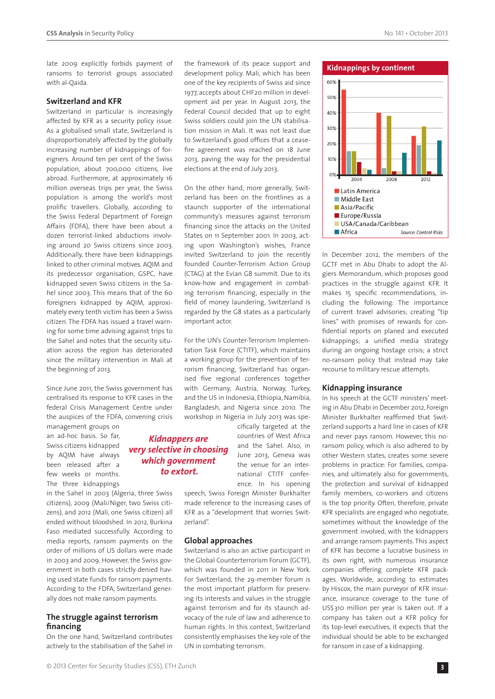late 2009 explicitly forbids payment of ransoms to terrorist groups associated with al-Qaida.

#### **Switzerland and KFR**

Switzerland in particular is increasingly affected by KFR as a security policy issue. As a globalised small state, Switzerland is disproportionately affected by the globally increasing number of kidnappings of foreigners. Around ten per cent of the Swiss population, about 700,000 citizens, live abroad. Furthermore, at approximately 16 million overseas trips per year, the Swiss population is among the world's most prolific travellers. Globally, according to the Swiss Federal Department of Foreign Affairs (FDFA), there have been about a dozen terrorist-linked abductions involving around 20 Swiss citizens since 2003. Additionally, there have been kidnappings linked to other criminal motives. AQIM and its predecessor organisation, GSPC, have kidnapped seven Swiss citizens in the Sahel since 2003. This means that of the 60 foreigners kidnapped by AQIM, approximately every tenth victim has been a Swiss citizen. The FDFA has issued a travel warning for some time advising against trips to the Sahel and notes that the security situation across the region has deteriorated since the military intervention in Mali at the beginning of 2013.

Since June 2011, the Swiss government has centralised its response to KFR cases in the federal Crisis Management Centre under the auspices of the FDFA, convening crisis

management groups on an ad-hoc basis. So far, Swiss citizens kidnapped by AQIM have always been released after a few weeks or months. The three kidnappings

in the Sahel in 2003 (Algeria, three Swiss citizens), 2009 (Mali/Niger, two Swiss citizens), and 2012 (Mali, one Swiss citizen) all ended without bloodshed. In 2012, Burkina Faso mediated successfully. According to media reports, ransom payments on the order of millions of US dollars were made in 2003 and 2009. However, the Swiss government in both cases strictly denied having used state funds for ransom payments. According to the FDFA, Switzerland generally does not make ransom payments.

#### **The struggle against terrorism financing**

On the one hand, Switzerland contributes actively to the stabilisation of the Sahel in the framework of its peace support and development policy. Mali, which has been one of the key recipients of Swiss aid since 1977, accepts about CHF20 million in development aid per year. In August 2013, the Federal Council decided that up to eight Swiss soldiers could join the UN stabilisation mission in Mali. It was not least due to Switzerland's good offices that a ceasefire agreement was reached on 18 June 2013, paving the way for the presidential elections at the end of July 2013.

On the other hand, more generally, Switzerland has been on the frontlines as a staunch supporter of the international community's measures against terrorism financing since the attacks on the United States on 11 September 2001. In 2003, acting upon Washington's wishes, France invited Switzerland to join the recently founded Counter-Terrorism Action Group (CTAG) at the Evian G8 summit. Due to its know-how and engagement in combating terrorism financing, especially in the field of money laundering, Switzerland is regarded by the G8 states as a particularly important actor.

For the UN's Counter-Terrorism Implementation Task Force (CTITF), which maintains a working group for the prevention of terrorism financing, Switzerland has organised five regional conferences together with Germany, Austria, Norway, Turkey, and the US in Indonesia, Ethiopia, Namibia, Bangladesh, and Nigeria since 2010. The workshop in Nigeria in July 2013 was spe-

# *Kidnappers are very selective in choosing which government to extort.*

cifically targeted at the countries of West Africa and the Sahel. Also, in June 2013, Geneva was the venue for an international CTITF conference. In his opening

speech, Swiss Foreign Minister Burkhalter made reference to the increasing cases of KFR as a "development that worries Switzerland".

#### **Global approaches**

Switzerland is also an active participant in the Global Counterterrorism Forum (GCTF), which was founded in 2011 in New York. For Switzerland, the 29-member forum is the most important platform for preserving its interests and values in the struggle against terrorism and for its staunch advocacy of the rule of law and adherence to human rights. In this context, Switzerland consistently emphasises the key role of the UN in combating terrorism.



In December 2012, the members of the GCTF met in Abu Dhabi to adopt the Algiers Memorandum, which proposes good practices in the struggle against KFR. It makes 15 specific recommendations, including the following: The importance of current travel advisories; creating "tip lines" with promises of rewards for confidential reports on planed and executed kidnappings; a unified media strategy during an ongoing hostage crisis; a strict no-ransom policy that instead may take recourse to military rescue attempts.

#### **Kidnapping insurance**

In his speech at the GCTF ministers' meeting in Abu Dhabi in December 2012, Foreign Minister Burkhalter reaffirmed that Switzerland supports a hard line in cases of KFR and never pays ransom. However, this noransom policy, which is also adhered to by other Western states, creates some severe problems in practice: For families, companies, and ultimately also for governments, the protection and survival of kidnapped family members, co-workers and citizens is the top priority. Often, therefore, private KFR specialists are engaged who negotiate, sometimes without the knowledge of the government involved, with the kidnappers and arrange ransom payments. This aspect of KFR has become a lucrative business in its own right, with numerous insurance companies offering complete KFR packages. Worldwide, according to estimates by Hiscox, the main purveyor of KFR insurance, insurance coverage to the tune of US\$310 million per year is taken out. If a company has taken out a KFR policy for its top-level executives, it expects that the individual should be able to be exchanged for ransom in case of a kidnapping.